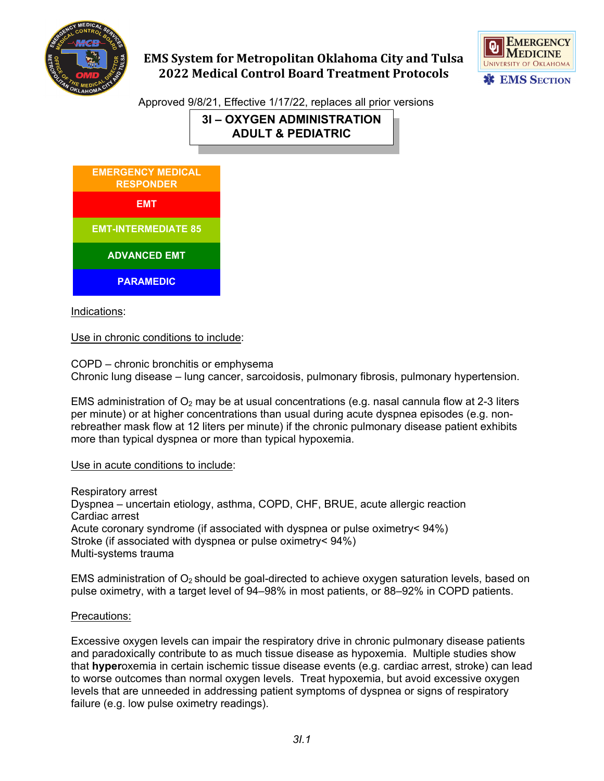

# **EMS System for Metropolitan Oklahoma City and Tulsa 2022 Medical Control Board Treatment Protocols**



Approved 9/8/21, Effective 1/17/22, replaces all prior versions

**3I – OXYGEN ADMINISTRATION ADULT & PEDIATRIC**



Indications:

Use in chronic conditions to include:

COPD – chronic bronchitis or emphysema Chronic lung disease – lung cancer, sarcoidosis, pulmonary fibrosis, pulmonary hypertension.

EMS administration of  $O_2$  may be at usual concentrations (e.g. nasal cannula flow at 2-3 liters per minute) or at higher concentrations than usual during acute dyspnea episodes (e.g. nonrebreather mask flow at 12 liters per minute) if the chronic pulmonary disease patient exhibits more than typical dyspnea or more than typical hypoxemia.

Use in acute conditions to include:

Respiratory arrest Dyspnea – uncertain etiology, asthma, COPD, CHF, BRUE, acute allergic reaction Cardiac arrest Acute coronary syndrome (if associated with dyspnea or pulse oximetry< 94%) Stroke (if associated with dyspnea or pulse oximetry< 94%) Multi-systems trauma

EMS administration of  $O_2$  should be goal-directed to achieve [oxygen saturation](http://en.wikipedia.org/wiki/Oxygen_saturation) levels, based on [pulse oximetry,](http://en.wikipedia.org/wiki/Pulse_oximetry) with a target level of 94–98% in most patients, or 88–92% in COPD patients.

#### Precautions:

Excessive oxygen levels can impair the respiratory drive in chronic pulmonary disease patients and paradoxically contribute to as much tissue disease as hypoxemia. Multiple studies show that **hyper**oxemia in certain ischemic tissue disease events (e.g. cardiac arrest, stroke) can lead to worse outcomes than normal oxygen levels. Treat hypoxemia, but avoid excessive oxygen levels that are unneeded in addressing patient symptoms of dyspnea or signs of respiratory failure (e.g. low pulse oximetry readings).